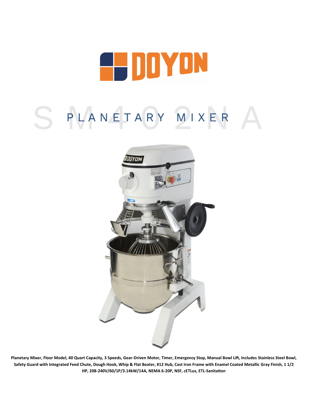

# S PLANETARY MIXER



**Planetary Mixer, Floor Model, 40 Quart Capacity, 3 Speeds, Gear-Driven Motor, Timer, Emergency Stop, Manual Bowl Lift, Includes Stainless Steel Bowl, Safety Guard with Integrated Feed Chute, Dough Hook, Whip & Flat Beater, #12 Hub, Cast Iron Frame with Enamel Coated Metallic Gray Finish, 1 1/2 HP, 208-240V/60/1P/3.14kW/14A, NEMA 6-20P, NSF, cETLus, ETL-Sanitation**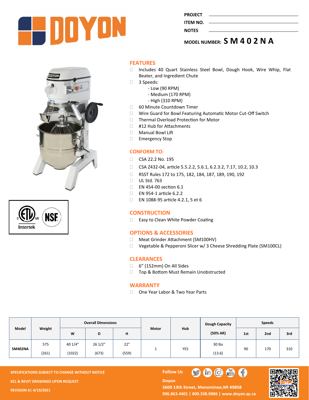

| PROJECT  |  |
|----------|--|
| ITEM NO. |  |
|          |  |
| NOTES    |  |
|          |  |

**MODEL NUMBER: S M 4 0 2 N A**





# **FEATURES**

- □ Includes 40 Quart Stainless Steel Bowl, Dough Hook, Wire Whip, Flat Beater, and Ingredient Chute
- 3 Speeds:
	- Low (90 RPM)
	- Medium (170 RPM)
	- High (310 RPM)
- □ 60 Minute Countdown Timer
- □ Wire Guard for Bowl Featuring Automatic Motor Cut-Off Switch
- □ Thermal Overload Protection for Motor
- □ #12 Hub for Attachments
- Manual Bowl Lift
- Emergency Stop

## **CONFORM TO:**

- CSA 22.2 No. 195
- □ CSA Z432-04, article 5.5.2.2, 5.6.1, 6.2.3.2, 7.17, 10.2, 10.3
- □ RSST Rules 172 to 175, 182, 184, 187, 189, 190, 192
- □ UL Std. 763
- EN 454-00 section 6.1
- EN 954-1 article 6.2.2
- EN 1088-95 article 4.2.1, 5 et 6

## **CONSTRUCTION**

□ Easy to Clean White Powder Coating

# **OPTIONS & ACCESSORIES**

- Meat Grinder Attachment (SM100HV)
- □ Vegetable & Pepperoni Slicer w/ 3 Cheese Shredding Plate (SM100CL)

## **CLEARANCES**

- □ 6" (152mm) On All Sides
- □ Top & Bottom Must Remain Unobstructed

## **WARRANTY**

□ One Year Labor & Two Year Parts

| Model          | Weight | <b>Overall Dimensions</b> |        |       |              |            | Dough Capacity | <b>Speeds</b> |     |     |
|----------------|--------|---------------------------|--------|-------|--------------|------------|----------------|---------------|-----|-----|
|                |        | W                         | D      | н     | <b>Motor</b> | <b>Hub</b> | (50% AR)       | 1st           | 2nd | 3rd |
| <b>SM402NA</b> | 575    | 40 1/4"                   | 261/2" | 22"   |              | YES        | 30 lbs         | 90            | 170 | 310 |
|                | (261)  | (1022)                    | (673)  | (559) |              |            | (13.6)         |               |     |     |

**SPECIFICATIONS SUBJECT TO CHANGE WITHOUT NOTICE Follow Use The Follow Use The Follow Use The Follow Use The Follow Use The Follow Use The Follow Use The Follow Use The Follow Use The Follow Use The Follow Use The Follow KCL & REVIT DRAWINGS UPON REQUEST REVISION A| 4/19/2021**

**Doyon** 





5600 13th Street, Menominee, MI 49858 **906.863.4401 | 800.338.9886 | [www.doyon.qc.ca](http://www.doyon.qc.ca/)**